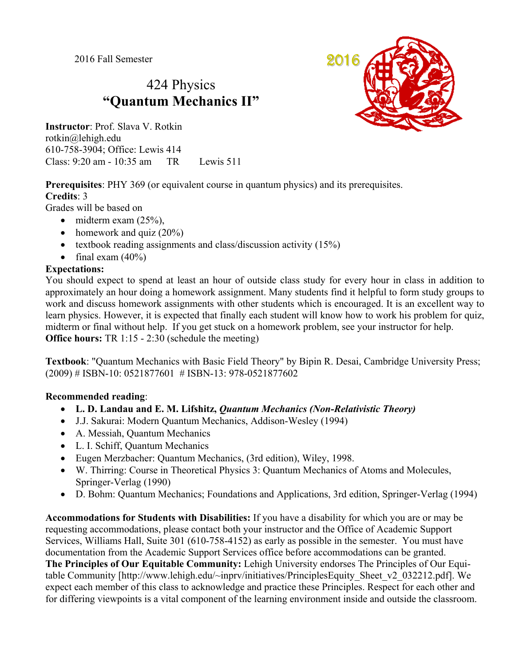2016 Fall Semester

# 424 Physics **"Quantum Mechanics II"**

**Instructor**: Prof. Slava V. Rotkin rotkin@lehigh.edu 610-758-3904; Office: Lewis 414 Class: 9:20 am - 10:35 am TR Lewis 511



**Prerequisites**: PHY 369 (or equivalent course in quantum physics) and its prerequisites. **Credits**: 3

Grades will be based on

- $\bullet$  midterm exam  $(25\%)$ .
- homework and quiz  $(20\%)$
- textbook reading assignments and class/discussion activity  $(15%)$
- $\bullet$  final exam (40%)

## **Expectations:**

You should expect to spend at least an hour of outside class study for every hour in class in addition to approximately an hour doing a homework assignment. Many students find it helpful to form study groups to work and discuss homework assignments with other students which is encouraged. It is an excellent way to learn physics. However, it is expected that finally each student will know how to work his problem for quiz, midterm or final without help. If you get stuck on a homework problem, see your instructor for help. **Office hours:** TR 1:15 - 2:30 (schedule the meeting)

**Textbook**: "Quantum Mechanics with Basic Field Theory" by Bipin R. Desai, Cambridge University Press; (2009) # ISBN-10: 0521877601 # ISBN-13: 978-0521877602

## **Recommended reading**:

- **L. D. Landau and E. M. Lifshitz,** *Quantum Mechanics (Non-Relativistic Theory)*
- J.J. Sakurai: Modern Quantum Mechanics, Addison-Wesley (1994)
- A. Messiah, Quantum Mechanics
- L. I. Schiff, Quantum Mechanics
- Eugen Merzbacher: Quantum Mechanics, (3rd edition), Wiley, 1998.
- W. Thirring: Course in Theoretical Physics 3: Quantum Mechanics of Atoms and Molecules, Springer-Verlag (1990)
- D. Bohm: Quantum Mechanics; Foundations and Applications, 3rd edition, Springer-Verlag (1994)

**Accommodations for Students with Disabilities:** If you have a disability for which you are or may be requesting accommodations, please contact both your instructor and the Office of Academic Support Services, Williams Hall, Suite 301 (610-758-4152) as early as possible in the semester. You must have documentation from the Academic Support Services office before accommodations can be granted. **The Principles of Our Equitable Community:** Lehigh University endorses The Principles of Our Equitable Community [http://www.lehigh.edu/~inprv/initiatives/PrinciplesEquity\_Sheet\_v2\_032212.pdf]. We expect each member of this class to acknowledge and practice these Principles. Respect for each other and for differing viewpoints is a vital component of the learning environment inside and outside the classroom.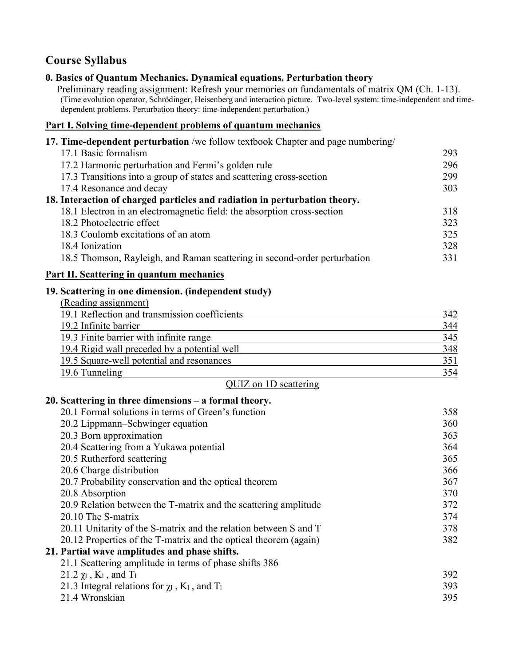# **Course Syllabus**

# **0. Basics of Quantum Mechanics. Dynamical equations. Perturbation theory**

Preliminary reading assignment: Refresh your memories on fundamentals of matrix QM (Ch. 1-13). (Time evolution operator, Schrödinger, Heisenberg and interaction picture. Two-level system: time-independent and timedependent problems. Perturbation theory: time-independent perturbation.)

#### **Part I. Solving time-dependent problems of quantum mechanics**

| 17. Time-dependent perturbation /we follow textbook Chapter and page numbering/ |     |
|---------------------------------------------------------------------------------|-----|
| 17.1 Basic formalism                                                            | 293 |
| 17.2 Harmonic perturbation and Fermi's golden rule                              | 296 |
| 17.3 Transitions into a group of states and scattering cross-section            | 299 |
| 17.4 Resonance and decay                                                        | 303 |
| 18. Interaction of charged particles and radiation in perturbation theory.      |     |
| 18.1 Electron in an electromagnetic field: the absorption cross-section         | 318 |
| 18.2 Photoelectric effect                                                       | 323 |
| 18.3 Coulomb excitations of an atom                                             | 325 |
| 18.4 Ionization                                                                 | 328 |
| 18.5 Thomson, Rayleigh, and Raman scattering in second-order perturbation       | 331 |

# **Part II. Scattering in quantum mechanics**

#### **19. Scattering in one dimension. (independent study)**

| (Reading assignment)                          |     |
|-----------------------------------------------|-----|
| 19.1 Reflection and transmission coefficients | 342 |
| 19.2 Infinite barrier                         | 344 |
| 19.3 Finite barrier with infinite range       | 345 |
| 19.4 Rigid wall preceded by a potential well  | 348 |
| 19.5 Square-well potential and resonances     | 351 |
| 19.6 Tunneling                                | 354 |

|  | QUIZ on 1D scattering |
|--|-----------------------|
|  |                       |

#### **20. Scattering in three dimensions – a formal theory.**

| 20.1 Formal solutions in terms of Green's function                         | 358 |
|----------------------------------------------------------------------------|-----|
| 20.2 Lippmann–Schwinger equation                                           | 360 |
| 20.3 Born approximation                                                    | 363 |
| 20.4 Scattering from a Yukawa potential                                    | 364 |
| 20.5 Rutherford scattering                                                 | 365 |
| 20.6 Charge distribution                                                   | 366 |
| 20.7 Probability conservation and the optical theorem                      | 367 |
| 20.8 Absorption                                                            | 370 |
| 20.9 Relation between the T-matrix and the scattering amplitude            | 372 |
| 20.10 The S-matrix                                                         | 374 |
| 20.11 Unitarity of the S-matrix and the relation between S and T           | 378 |
| 20.12 Properties of the T-matrix and the optical theorem (again)           | 382 |
| 21. Partial wave amplitudes and phase shifts.                              |     |
| 21.1 Scattering amplitude in terms of phase shifts 386                     |     |
| 21.2 $\chi$ <sub>1</sub> , K <sub>1</sub> , and T <sub>1</sub>             | 392 |
| 21.3 Integral relations for $\chi_1$ , K <sub>1</sub> , and T <sub>1</sub> | 393 |
| 21.4 Wronskian                                                             | 395 |